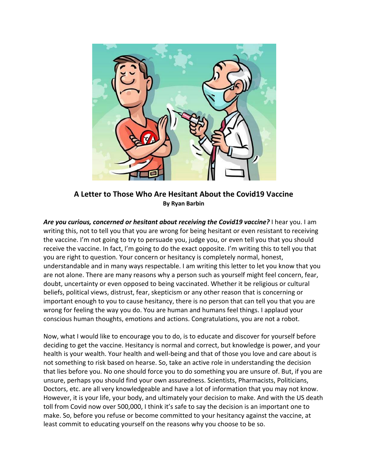

**A Letter to Those Who Are Hesitant About the Covid19 Vaccine By Ryan Barbin**

Are you curious, concerned or hesitant about receiving the Covid19 vaccine? I hear you. I am writing this, not to tell you that you are wrong for being hesitant or even resistant to receiving the vaccine. I'm not going to try to persuade you, judge you, or even tell you that you should receive the vaccine. In fact, I'm going to do the exact opposite. I'm writing this to tell you that you are right to question. Your concern or hesitancy is completely normal, honest, understandable and in many ways respectable. I am writing this letter to let you know that you are not alone. There are many reasons why a person such as yourself might feel concern, fear, doubt, uncertainty or even opposed to being vaccinated. Whether it be religious or cultural beliefs, political views, distrust, fear, skepticism or any other reason that is concerning or important enough to you to cause hesitancy, there is no person that can tell you that you are wrong for feeling the way you do. You are human and humans feel things. I applaud your conscious human thoughts, emotions and actions. Congratulations, you are not a robot.

Now, what I would like to encourage you to do, is to educate and discover for yourself before deciding to get the vaccine. Hesitancy is normal and correct, but knowledge is power, and your health is your wealth. Your health and well-being and that of those you love and care about is not something to risk based on hearse. So, take an active role in understanding the decision that lies before you. No one should force you to do something you are unsure of. But, if you are unsure, perhaps you should find your own assuredness. Scientists, Pharmacists, Politicians, Doctors, etc. are all very knowledgeable and have a lot of information that you may not know. However, it is your life, your body, and ultimately your decision to make. And with the US death toll from Covid now over 500,000, I think it's safe to say the decision is an important one to make. So, before you refuse or become committed to your hesitancy against the vaccine, at least commit to educating yourself on the reasons why you choose to be so.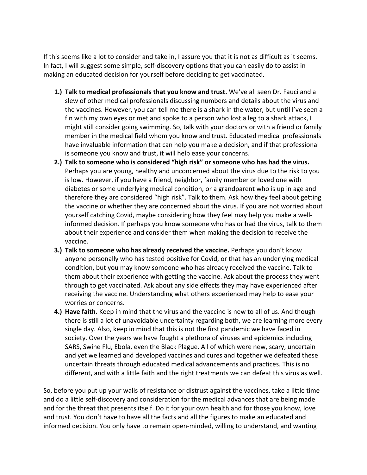If this seems like a lot to consider and take in, I assure you that it is not as difficult as it seems. In fact, I will suggest some simple, self-discovery options that you can easily do to assist in making an educated decision for yourself before deciding to get vaccinated.

- **1.) Talk to medical professionals that you know and trust.** We've all seen Dr. Fauci and a slew of other medical professionals discussing numbers and details about the virus and the vaccines. However, you can tell me there is a shark in the water, but until I've seen a fin with my own eyes or met and spoke to a person who lost a leg to a shark attack, I might still consider going swimming. So, talk with your doctors or with a friend or family member in the medical field whom you know and trust. Educated medical professionals have invaluable information that can help you make a decision, and if that professional is someone you know and trust, it will help ease your concerns.
- **2.) Talk to someone who is considered "high risk" or someone who has had the virus.**  Perhaps you are young, healthy and unconcerned about the virus due to the risk to you is low. However, if you have a friend, neighbor, family member or loved one with diabetes or some underlying medical condition, or a grandparent who is up in age and therefore they are considered "high risk". Talk to them. Ask how they feel about getting the vaccine or whether they are concerned about the virus. If you are not worried about yourself catching Covid, maybe considering how they feel may help you make a wellinformed decision. If perhaps you know someone who has or had the virus, talk to them about their experience and consider them when making the decision to receive the vaccine.
- **3.)** Talk to someone who has already received the vaccine. Perhaps you don't know anyone personally who has tested positive for Covid, or that has an underlying medical condition, but you may know someone who has already received the vaccine. Talk to them about their experience with getting the vaccine. Ask about the process they went through to get vaccinated. Ask about any side effects they may have experienced after receiving the vaccine. Understanding what others experienced may help to ease your worries or concerns.
- **4.) Have faith.** Keep in mind that the virus and the vaccine is new to all of us. And though there is still a lot of unavoidable uncertainty regarding both, we are learning more every single day. Also, keep in mind that this is not the first pandemic we have faced in society. Over the years we have fought a plethora of viruses and epidemics including SARS, Swine Flu, Ebola, even the Black Plague. All of which were new, scary, uncertain and yet we learned and developed vaccines and cures and together we defeated these uncertain threats through educated medical advancements and practices. This is no different, and with a little faith and the right treatments we can defeat this virus as well.

So, before you put up your walls of resistance or distrust against the vaccines, take a little time and do a little self-discovery and consideration for the medical advances that are being made and for the threat that presents itself. Do it for your own health and for those you know, love and trust. You don't have to have all the facts and all the figures to make an educated and informed decision. You only have to remain open-minded, willing to understand, and wanting